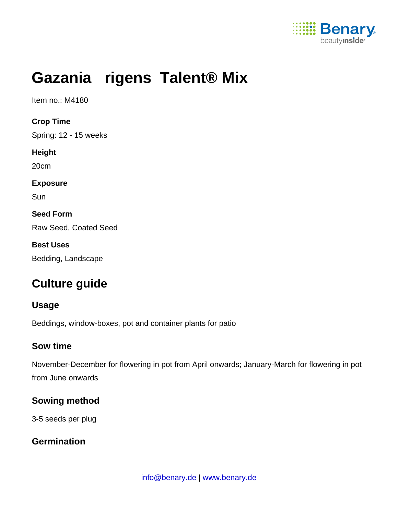

# Gazania rigens Talent® Mix

Item no.: M4180

Crop Time Spring: 12 - 15 weeks Height 20cm Exposure **Sun** Seed Form Raw Seed, Coated Seed Best Uses Bedding, Landscape

## Culture guide

Usage

Beddings, window-boxes, pot and container plants for patio

#### Sow time

November-December for flowering in pot from April onwards; January-March for flowering in pot from June onwards

Sowing method

3-5 seeds per plug

**Germination**